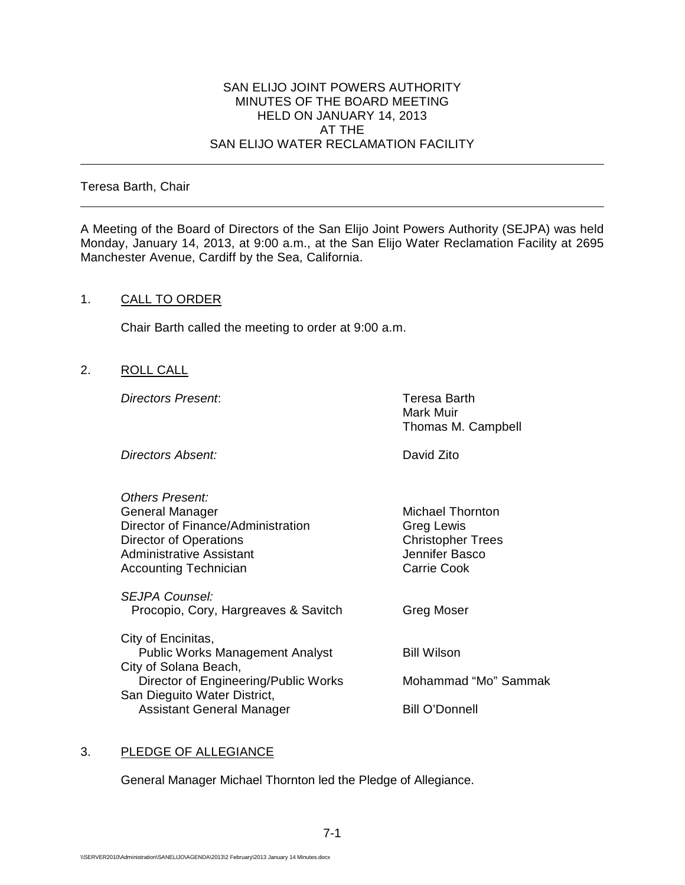### SAN ELIJO JOINT POWERS AUTHORITY MINUTES OF THE BOARD MEETING HELD ON JANUARY 14, 2013 AT THE SAN ELIJO WATER RECLAMATION FACILITY

### Teresa Barth, Chair

A Meeting of the Board of Directors of the San Elijo Joint Powers Authority (SEJPA) was held Monday, January 14, 2013, at 9:00 a.m., at the San Elijo Water Reclamation Facility at 2695 Manchester Avenue, Cardiff by the Sea, California.

#### 1. CALL TO ORDER

Chair Barth called the meeting to order at 9:00 a.m.

2. ROLL CALL

*Directors Present*: Teresa Barth

Mark Muir Thomas M. Campbell

*Directors Absent:* David Zito

*Others Present:*

General Manager Michael Thornton Director of Finance/Administration Greg Lewis Director of Operations and Christopher Trees<br>
Administrative Assistant and Christopher Basco Administrative Assistant Accounting Technician **Carrie Cook** Carrie Cook

*SEJPA Counsel:* Procopio, Cory, Hargreaves & Savitch Greg Moser

City of Encinitas, Public Works Management Analyst Bill Wilson City of Solana Beach, Director of Engineering/Public Works Mohammad "Mo" Sammak San Dieguito Water District, Assistant General Manager Bill O'Donnell

### 3. PLEDGE OF ALLEGIANCE

General Manager Michael Thornton led the Pledge of Allegiance.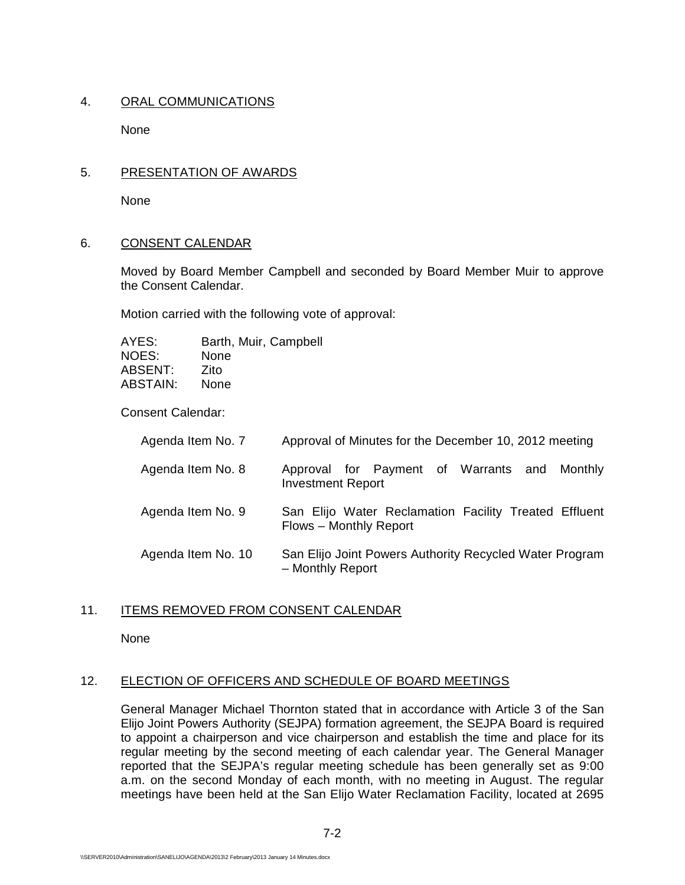# 4. ORAL COMMUNICATIONS

None

# 5. PRESENTATION OF AWARDS

None

## 6. CONSENT CALENDAR

Moved by Board Member Campbell and seconded by Board Member Muir to approve the Consent Calendar.

Motion carried with the following vote of approval:

| Barth, Muir, Campbell |
|-----------------------|
| None                  |
| Zito                  |
| None                  |
|                       |

Consent Calendar:

| Agenda Item No. 7  | Approval of Minutes for the December 10, 2012 meeting                           |
|--------------------|---------------------------------------------------------------------------------|
| Agenda Item No. 8  | Approval for Payment of Warrants and Monthly<br><b>Investment Report</b>        |
| Agenda Item No. 9  | San Elijo Water Reclamation Facility Treated Effluent<br>Flows - Monthly Report |
| Agenda Item No. 10 | San Elijo Joint Powers Authority Recycled Water Program<br>- Monthly Report     |

# 11. ITEMS REMOVED FROM CONSENT CALENDAR

None

# 12. ELECTION OF OFFICERS AND SCHEDULE OF BOARD MEETINGS

General Manager Michael Thornton stated that in accordance with Article 3 of the San Elijo Joint Powers Authority (SEJPA) formation agreement, the SEJPA Board is required to appoint a chairperson and vice chairperson and establish the time and place for its regular meeting by the second meeting of each calendar year. The General Manager reported that the SEJPA's regular meeting schedule has been generally set as 9:00 a.m. on the second Monday of each month, with no meeting in August. The regular meetings have been held at the San Elijo Water Reclamation Facility, located at 2695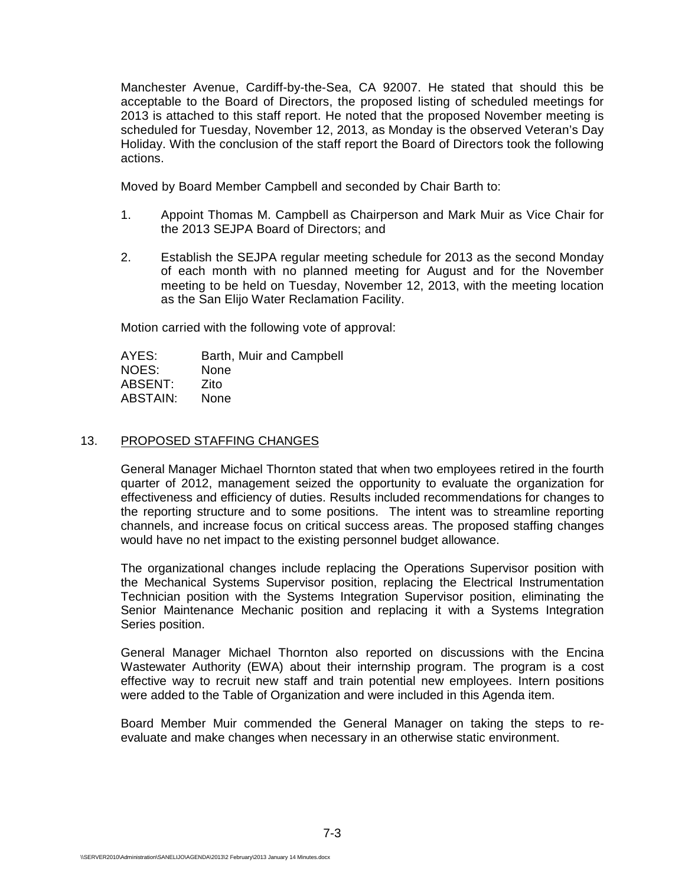Manchester Avenue, Cardiff-by-the-Sea, CA 92007. He stated that should this be acceptable to the Board of Directors, the proposed listing of scheduled meetings for 2013 is attached to this staff report. He noted that the proposed November meeting is scheduled for Tuesday, November 12, 2013, as Monday is the observed Veteran's Day Holiday. With the conclusion of the staff report the Board of Directors took the following actions.

Moved by Board Member Campbell and seconded by Chair Barth to:

- 1. Appoint Thomas M. Campbell as Chairperson and Mark Muir as Vice Chair for the 2013 SEJPA Board of Directors; and
- 2. Establish the SEJPA regular meeting schedule for 2013 as the second Monday of each month with no planned meeting for August and for the November meeting to be held on Tuesday, November 12, 2013, with the meeting location as the San Elijo Water Reclamation Facility.

Motion carried with the following vote of approval:

| AYES:    | Barth, Muir and Campbell |
|----------|--------------------------|
| NOES:    | None                     |
| ABSENT:  | Zito                     |
| ABSTAIN: | None                     |

### 13. PROPOSED STAFFING CHANGES

General Manager Michael Thornton stated that when two employees retired in the fourth quarter of 2012, management seized the opportunity to evaluate the organization for effectiveness and efficiency of duties. Results included recommendations for changes to the reporting structure and to some positions. The intent was to streamline reporting channels, and increase focus on critical success areas. The proposed staffing changes would have no net impact to the existing personnel budget allowance.

The organizational changes include replacing the Operations Supervisor position with the Mechanical Systems Supervisor position, replacing the Electrical Instrumentation Technician position with the Systems Integration Supervisor position, eliminating the Senior Maintenance Mechanic position and replacing it with a Systems Integration Series position.

General Manager Michael Thornton also reported on discussions with the Encina Wastewater Authority (EWA) about their internship program. The program is a cost effective way to recruit new staff and train potential new employees. Intern positions were added to the Table of Organization and were included in this Agenda item.

Board Member Muir commended the General Manager on taking the steps to reevaluate and make changes when necessary in an otherwise static environment.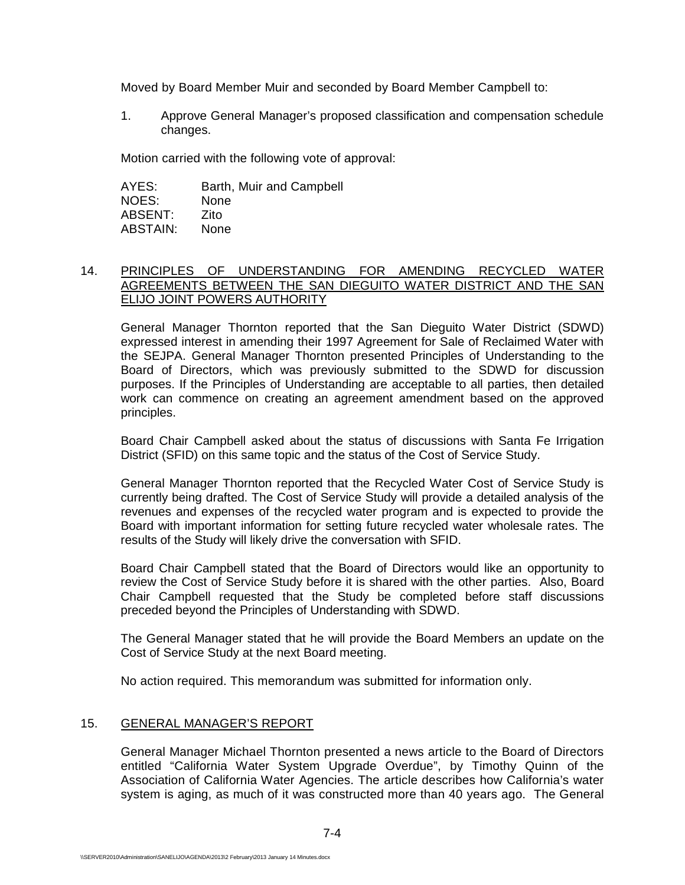Moved by Board Member Muir and seconded by Board Member Campbell to:

1. Approve General Manager's proposed classification and compensation schedule changes.

Motion carried with the following vote of approval:

AYES: Barth, Muir and Campbell NOES: None<br>ABSENT: Zito ABSENT: Zito<br>ABSTAIN: None ABSTAIN:

## 14. PRINCIPLES OF UNDERSTANDING FOR AMENDING RECYCLED WATER AGREEMENTS BETWEEN THE SAN DIEGUITO WATER DISTRICT AND THE SAN ELIJO JOINT POWERS AUTHORITY

General Manager Thornton reported that the San Dieguito Water District (SDWD) expressed interest in amending their 1997 Agreement for Sale of Reclaimed Water with the SEJPA. General Manager Thornton presented Principles of Understanding to the Board of Directors, which was previously submitted to the SDWD for discussion purposes. If the Principles of Understanding are acceptable to all parties, then detailed work can commence on creating an agreement amendment based on the approved principles.

Board Chair Campbell asked about the status of discussions with Santa Fe Irrigation District (SFID) on this same topic and the status of the Cost of Service Study.

General Manager Thornton reported that the Recycled Water Cost of Service Study is currently being drafted. The Cost of Service Study will provide a detailed analysis of the revenues and expenses of the recycled water program and is expected to provide the Board with important information for setting future recycled water wholesale rates. The results of the Study will likely drive the conversation with SFID.

Board Chair Campbell stated that the Board of Directors would like an opportunity to review the Cost of Service Study before it is shared with the other parties. Also, Board Chair Campbell requested that the Study be completed before staff discussions preceded beyond the Principles of Understanding with SDWD.

The General Manager stated that he will provide the Board Members an update on the Cost of Service Study at the next Board meeting.

No action required. This memorandum was submitted for information only.

# 15. GENERAL MANAGER'S REPORT

General Manager Michael Thornton presented a news article to the Board of Directors entitled "California Water System Upgrade Overdue", by Timothy Quinn of the Association of California Water Agencies. The article describes how California's water system is aging, as much of it was constructed more than 40 years ago. The General